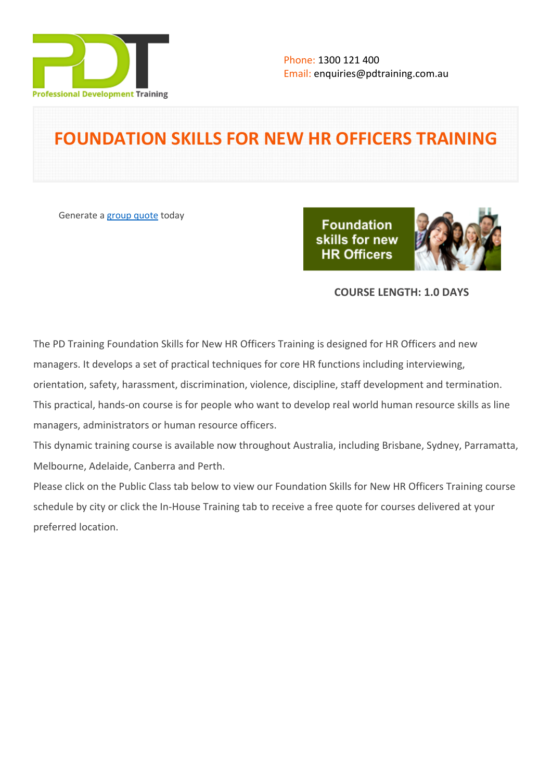

# **FOUNDATION SKILLS FOR NEW HR OFFICERS TRAINING**

Generate a [group quote](https://pdtraining.com.au/inhouse-training-quote?cse=PDT035) today

**Foundation** skills for new **HR Officers** 



# **COURSE LENGTH: 1.0 DAYS**

The PD Training Foundation Skills for New HR Officers Training is designed for HR Officers and new managers. It develops a set of practical techniques for core HR functions including interviewing, orientation, safety, harassment, discrimination, violence, discipline, staff development and termination. This practical, hands-on course is for people who want to develop real world human resource skills as line managers, administrators or human resource officers.

This dynamic training course is available now throughout Australia, including Brisbane, Sydney, Parramatta, Melbourne, Adelaide, Canberra and Perth.

Please click on the Public Class tab below to view our Foundation Skills for New HR Officers Training course schedule by city or click the In-House Training tab to receive a free quote for courses delivered at your preferred location.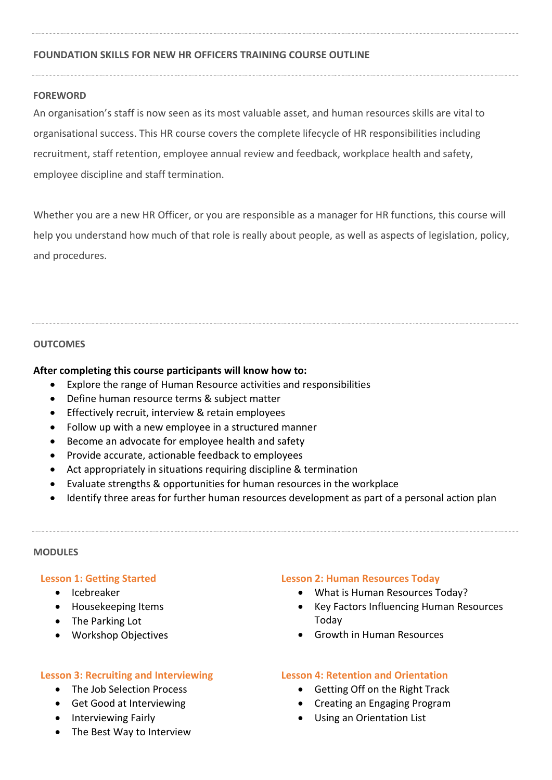## **FOUNDATION SKILLS FOR NEW HR OFFICERS TRAINING COURSE OUTLINE**

## **FOREWORD**

An organisation's staff is now seen as its most valuable asset, and human resources skills are vital to organisational success. This HR course covers the complete lifecycle of HR responsibilities including recruitment, staff retention, employee annual review and feedback, workplace health and safety, employee discipline and staff termination.

Whether you are a new HR Officer, or you are responsible as a manager for HR functions, this course will help you understand how much of that role is really about people, as well as aspects of legislation, policy, and procedures.

## **OUTCOMES**

## **After completing this course participants will know how to:**

- Explore the range of Human Resource activities and responsibilities
- Define human resource terms & subject matter
- **•** Effectively recruit, interview & retain employees
- Follow up with a new employee in a structured manner
- Become an advocate for employee health and safety
- Provide accurate, actionable feedback to employees
- Act appropriately in situations requiring discipline & termination
- Evaluate strengths & opportunities for human resources in the workplace
- Identify three areas for further human resources development as part of a personal action plan

#### **MODULES**

#### **Lesson 1: Getting Started**

- Icebreaker
- Housekeeping Items
- The Parking Lot
- Workshop Objectives

#### **Lesson 3: Recruiting and Interviewing**

- The Job Selection Process
- Get Good at Interviewing
- Interviewing Fairly
- The Best Way to Interview

#### **Lesson 2: Human Resources Today**

- What is Human Resources Today?
- Key Factors Influencing Human Resources Today
- **•** Growth in Human Resources

## **Lesson 4: Retention and Orientation**

- Getting Off on the Right Track
- Creating an Engaging Program
- Using an Orientation List